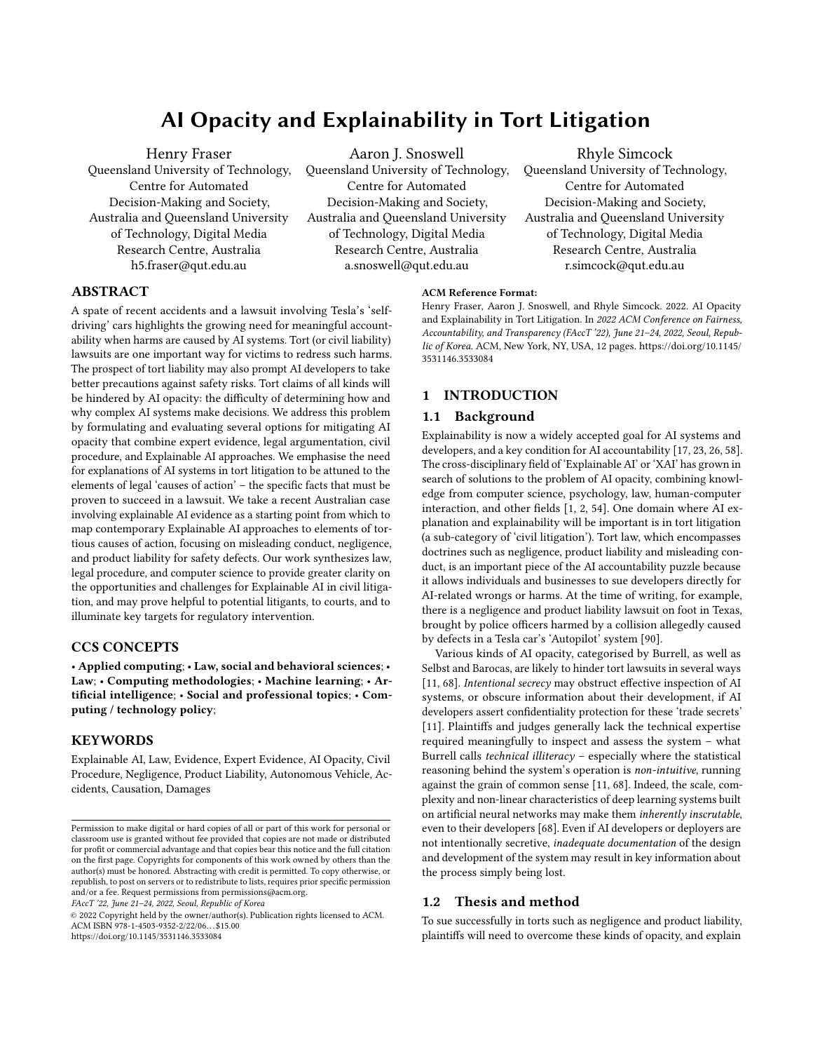# AI Opacity and Explainability in Tort Litigation

Henry Fraser Queensland University of Technology, Centre for Automated Decision-Making and Society, Australia and Queensland University of Technology, Digital Media Research Centre, Australia h5.fraser@qut.edu.au

Aaron J. Snoswell

Queensland University of Technology, Centre for Automated Decision-Making and Society, Australia and Queensland University of Technology, Digital Media Research Centre, Australia a.snoswell@qut.edu.au

Rhyle Simcock Queensland University of Technology, Centre for Automated Decision-Making and Society, Australia and Queensland University of Technology, Digital Media Research Centre, Australia r.simcock@qut.edu.au

# ABSTRACT

A spate of recent accidents and a lawsuit involving Tesla's 'selfdriving' cars highlights the growing need for meaningful accountability when harms are caused by AI systems. Tort (or civil liability) lawsuits are one important way for victims to redress such harms. The prospect of tort liability may also prompt AI developers to take better precautions against safety risks. Tort claims of all kinds will be hindered by AI opacity: the difficulty of determining how and why complex AI systems make decisions. We address this problem by formulating and evaluating several options for mitigating AI opacity that combine expert evidence, legal argumentation, civil procedure, and Explainable AI approaches. We emphasise the need for explanations of AI systems in tort litigation to be attuned to the elements of legal 'causes of action' – the specific facts that must be proven to succeed in a lawsuit. We take a recent Australian case involving explainable AI evidence as a starting point from which to map contemporary Explainable AI approaches to elements of tortious causes of action, focusing on misleading conduct, negligence, and product liability for safety defects. Our work synthesizes law, legal procedure, and computer science to provide greater clarity on the opportunities and challenges for Explainable AI in civil litigation, and may prove helpful to potential litigants, to courts, and to illuminate key targets for regulatory intervention.

#### CCS CONCEPTS

• Applied computing; • Law, social and behavioral sciences; • Law; • Computing methodologies; • Machine learning; • Artificial intelligence; • Social and professional topics; • Computing / technology policy;

### **KEYWORDS**

Explainable AI, Law, Evidence, Expert Evidence, AI Opacity, Civil Procedure, Negligence, Product Liability, Autonomous Vehicle, Accidents, Causation, Damages

FAccT '22, June 21–24, 2022, Seoul, Republic of Korea

© 2022 Copyright held by the owner/author(s). Publication rights licensed to ACM. ACM ISBN 978-1-4503-9352-2/22/06. . . \$15.00 <https://doi.org/10.1145/3531146.3533084>

#### ACM Reference Format:

Henry Fraser, Aaron J. Snoswell, and Rhyle Simcock. 2022. AI Opacity and Explainability in Tort Litigation. In 2022 ACM Conference on Fairness, Accountability, and Transparency (FAccT '22), June 21–24, 2022, Seoul, Republic of Korea. ACM, New York, NY, USA, [12](#page-11-0) pages. [https://doi.org/10.1145/](https://doi.org/10.1145/3531146.3533084) [3531146.3533084](https://doi.org/10.1145/3531146.3533084)

#### 1 INTRODUCTION

#### 1.1 Background

Explainability is now a widely accepted goal for AI systems and developers, and a key condition for AI accountability [\[17,](#page-10-0) [23,](#page-10-1) [26,](#page-10-2) [58\]](#page-11-1). The cross-disciplinary field of 'Explainable AI' or 'XAI' has grown in search of solutions to the problem of AI opacity, combining knowledge from computer science, psychology, law, human-computer interaction, and other fields [\[1,](#page-10-3) [2,](#page-10-4) [54\]](#page-11-2). One domain where AI explanation and explainability will be important is in tort litigation (a sub-category of 'civil litigation'). Tort law, which encompasses doctrines such as negligence, product liability and misleading conduct, is an important piece of the AI accountability puzzle because it allows individuals and businesses to sue developers directly for AI-related wrongs or harms. At the time of writing, for example, there is a negligence and product liability lawsuit on foot in Texas, brought by police officers harmed by a collision allegedly caused by defects in a Tesla car's 'Autopilot' system [\[90\]](#page-11-3).

Various kinds of AI opacity, categorised by Burrell, as well as Selbst and Barocas, are likely to hinder tort lawsuits in several ways [\[11,](#page-10-5) [68\]](#page-11-4). Intentional secrecy may obstruct effective inspection of AI systems, or obscure information about their development, if AI developers assert confidentiality protection for these 'trade secrets' [\[11\]](#page-10-5). Plaintiffs and judges generally lack the technical expertise required meaningfully to inspect and assess the system – what Burrell calls technical illiteracy – especially where the statistical reasoning behind the system's operation is non-intuitive, running against the grain of common sense [\[11,](#page-10-5) [68\]](#page-11-4). Indeed, the scale, complexity and non-linear characteristics of deep learning systems built on artificial neural networks may make them inherently inscrutable, even to their developers [\[68\]](#page-11-4). Even if AI developers or deployers are not intentionally secretive, inadequate documentation of the design and development of the system may result in key information about the process simply being lost.

### 1.2 Thesis and method

To sue successfully in torts such as negligence and product liability, plaintiffs will need to overcome these kinds of opacity, and explain

Permission to make digital or hard copies of all or part of this work for personal or classroom use is granted without fee provided that copies are not made or distributed for profit or commercial advantage and that copies bear this notice and the full citation on the first page. Copyrights for components of this work owned by others than the author(s) must be honored. Abstracting with credit is permitted. To copy otherwise, or republish, to post on servers or to redistribute to lists, requires prior specific permission and/or a fee. Request permissions from permissions@acm.org.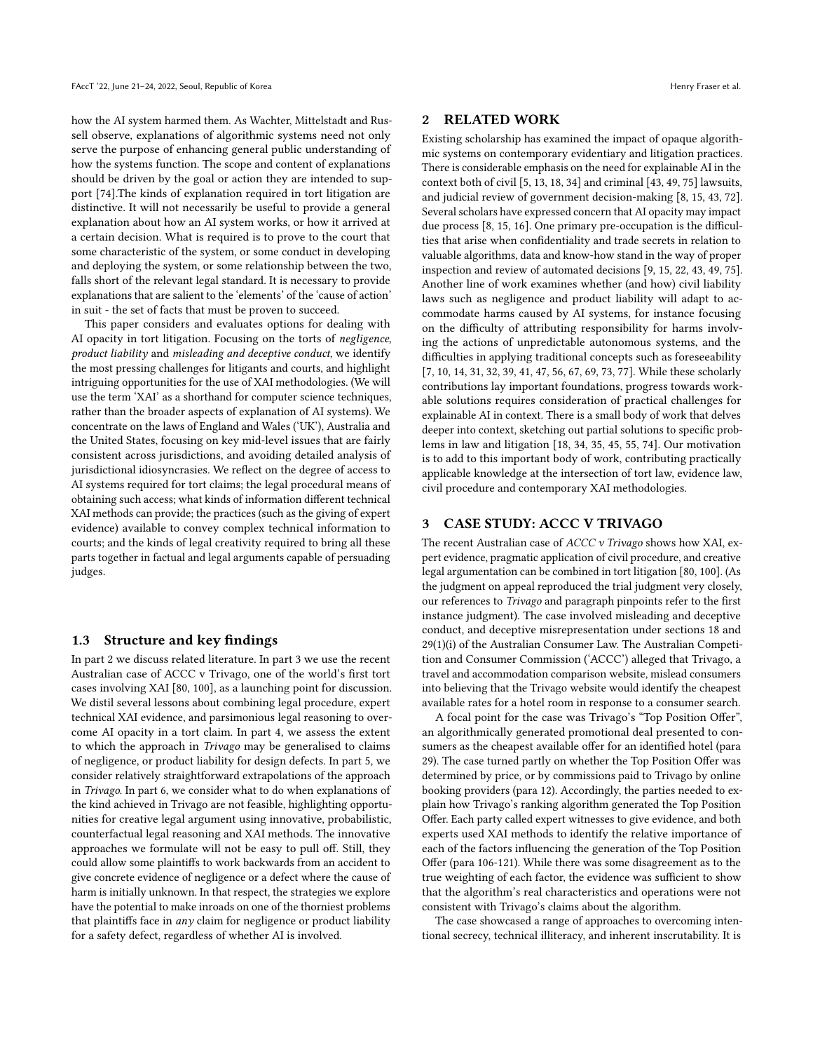how the AI system harmed them. As Wachter, Mittelstadt and Russell observe, explanations of algorithmic systems need not only serve the purpose of enhancing general public understanding of how the systems function. The scope and content of explanations should be driven by the goal or action they are intended to support [\[74\]](#page-11-5).The kinds of explanation required in tort litigation are distinctive. It will not necessarily be useful to provide a general explanation about how an AI system works, or how it arrived at a certain decision. What is required is to prove to the court that some characteristic of the system, or some conduct in developing and deploying the system, or some relationship between the two, falls short of the relevant legal standard. It is necessary to provide explanations that are salient to the 'elements' of the 'cause of action' in suit - the set of facts that must be proven to succeed.

This paper considers and evaluates options for dealing with AI opacity in tort litigation. Focusing on the torts of negligence, product liability and misleading and deceptive conduct, we identify the most pressing challenges for litigants and courts, and highlight intriguing opportunities for the use of XAI methodologies. (We will use the term 'XAI' as a shorthand for computer science techniques, rather than the broader aspects of explanation of AI systems). We concentrate on the laws of England and Wales ('UK'), Australia and the United States, focusing on key mid-level issues that are fairly consistent across jurisdictions, and avoiding detailed analysis of jurisdictional idiosyncrasies. We reflect on the degree of access to AI systems required for tort claims; the legal procedural means of obtaining such access; what kinds of information different technical XAI methods can provide; the practices (such as the giving of expert evidence) available to convey complex technical information to courts; and the kinds of legal creativity required to bring all these parts together in factual and legal arguments capable of persuading judges.

#### 1.3 Structure and key findings

In part 2 we discuss related literature. In part 3 we use the recent Australian case of ACCC v Trivago, one of the world's first tort cases involving XAI [\[80,](#page-11-6) [100\]](#page-11-7), as a launching point for discussion. We distil several lessons about combining legal procedure, expert technical XAI evidence, and parsimonious legal reasoning to overcome AI opacity in a tort claim. In part 4, we assess the extent to which the approach in Trivago may be generalised to claims of negligence, or product liability for design defects. In part 5, we consider relatively straightforward extrapolations of the approach in Trivago. In part 6, we consider what to do when explanations of the kind achieved in Trivago are not feasible, highlighting opportunities for creative legal argument using innovative, probabilistic, counterfactual legal reasoning and XAI methods. The innovative approaches we formulate will not be easy to pull off. Still, they could allow some plaintiffs to work backwards from an accident to give concrete evidence of negligence or a defect where the cause of harm is initially unknown. In that respect, the strategies we explore have the potential to make inroads on one of the thorniest problems that plaintiffs face in any claim for negligence or product liability for a safety defect, regardless of whether AI is involved.

## 2 RELATED WORK

Existing scholarship has examined the impact of opaque algorithmic systems on contemporary evidentiary and litigation practices. There is considerable emphasis on the need for explainable AI in the context both of civil [\[5,](#page-10-6) [13,](#page-10-7) [18,](#page-10-8) [34\]](#page-10-9) and criminal [\[43,](#page-10-10) [49,](#page-10-11) [75\]](#page-11-8) lawsuits, and judicial review of government decision-making [\[8,](#page-10-12) [15,](#page-10-13) [43,](#page-10-10) [72\]](#page-11-9). Several scholars have expressed concern that AI opacity may impact due process [\[8,](#page-10-12) [15,](#page-10-13) [16\]](#page-10-14). One primary pre-occupation is the difficulties that arise when confidentiality and trade secrets in relation to valuable algorithms, data and know-how stand in the way of proper inspection and review of automated decisions [\[9,](#page-10-15) [15,](#page-10-13) [22,](#page-10-16) [43,](#page-10-10) [49,](#page-10-11) [75\]](#page-11-8). Another line of work examines whether (and how) civil liability laws such as negligence and product liability will adapt to accommodate harms caused by AI systems, for instance focusing on the difficulty of attributing responsibility for harms involving the actions of unpredictable autonomous systems, and the difficulties in applying traditional concepts such as foreseeability [\[7,](#page-10-17) [10,](#page-10-18) [14,](#page-10-19) [31,](#page-10-20) [32,](#page-10-21) [39,](#page-10-22) [41,](#page-10-23) [47,](#page-10-24) [56,](#page-11-10) [67,](#page-11-11) [69,](#page-11-12) [73,](#page-11-13) [77\]](#page-11-14). While these scholarly contributions lay important foundations, progress towards workable solutions requires consideration of practical challenges for explainable AI in context. There is a small body of work that delves deeper into context, sketching out partial solutions to specific problems in law and litigation [\[18,](#page-10-8) [34,](#page-10-9) [35,](#page-10-25) [45,](#page-10-26) [55,](#page-11-15) [74\]](#page-11-5). Our motivation is to add to this important body of work, contributing practically applicable knowledge at the intersection of tort law, evidence law, civil procedure and contemporary XAI methodologies.

## 3 CASE STUDY: ACCC V TRIVAGO

The recent Australian case of *ACCC* v Trivago shows how XAI, expert evidence, pragmatic application of civil procedure, and creative legal argumentation can be combined in tort litigation [\[80,](#page-11-6) [100\]](#page-11-7). (As the judgment on appeal reproduced the trial judgment very closely, our references to Trivago and paragraph pinpoints refer to the first instance judgment). The case involved misleading and deceptive conduct, and deceptive misrepresentation under sections 18 and 29(1)(i) of the Australian Consumer Law. The Australian Competition and Consumer Commission ('ACCC') alleged that Trivago, a travel and accommodation comparison website, mislead consumers into believing that the Trivago website would identify the cheapest available rates for a hotel room in response to a consumer search.

A focal point for the case was Trivago's "Top Position Offer", an algorithmically generated promotional deal presented to consumers as the cheapest available offer for an identified hotel (para 29). The case turned partly on whether the Top Position Offer was determined by price, or by commissions paid to Trivago by online booking providers (para 12). Accordingly, the parties needed to explain how Trivago's ranking algorithm generated the Top Position Offer. Each party called expert witnesses to give evidence, and both experts used XAI methods to identify the relative importance of each of the factors influencing the generation of the Top Position Offer (para 106-121). While there was some disagreement as to the true weighting of each factor, the evidence was sufficient to show that the algorithm's real characteristics and operations were not consistent with Trivago's claims about the algorithm.

The case showcased a range of approaches to overcoming intentional secrecy, technical illiteracy, and inherent inscrutability. It is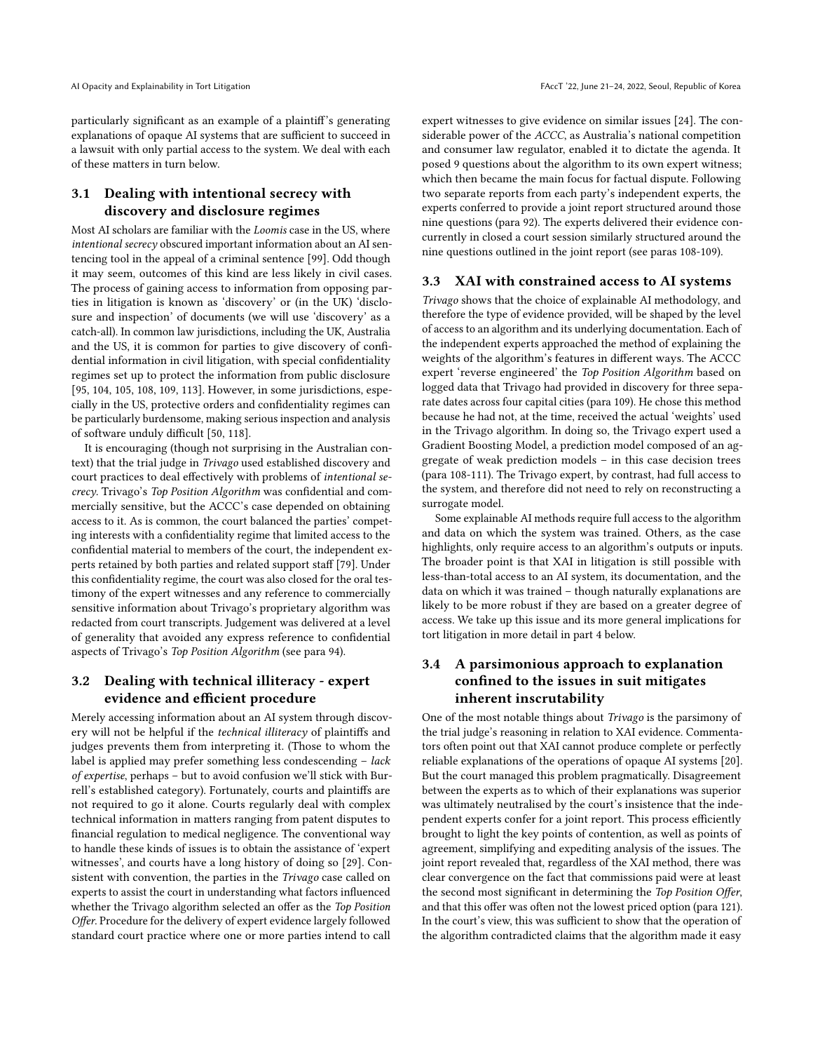AI Opacity and Explainability in Tort Litigation FACCT of AccT '22, June 21–24, 2022, Seoul, Republic of Korea

particularly significant as an example of a plaintiff's generating explanations of opaque AI systems that are sufficient to succeed in a lawsuit with only partial access to the system. We deal with each of these matters in turn below.

# 3.1 Dealing with intentional secrecy with discovery and disclosure regimes

Most AI scholars are familiar with the Loomis case in the US, where intentional secrecy obscured important information about an AI sentencing tool in the appeal of a criminal sentence [\[99\]](#page-11-16). Odd though it may seem, outcomes of this kind are less likely in civil cases. The process of gaining access to information from opposing parties in litigation is known as 'discovery' or (in the UK) 'disclosure and inspection' of documents (we will use 'discovery' as a catch-all). In common law jurisdictions, including the UK, Australia and the US, it is common for parties to give discovery of confidential information in civil litigation, with special confidentiality regimes set up to protect the information from public disclosure [\[95,](#page-11-17) [104,](#page-11-18) [105,](#page-11-19) [108,](#page-11-20) [109,](#page-11-21) [113\]](#page-11-22). However, in some jurisdictions, especially in the US, protective orders and confidentiality regimes can be particularly burdensome, making serious inspection and analysis of software unduly difficult [\[50,](#page-10-27) [118\]](#page-11-23).

It is encouraging (though not surprising in the Australian context) that the trial judge in Trivago used established discovery and court practices to deal effectively with problems of intentional secrecy. Trivago's Top Position Algorithm was confidential and commercially sensitive, but the ACCC's case depended on obtaining access to it. As is common, the court balanced the parties' competing interests with a confidentiality regime that limited access to the confidential material to members of the court, the independent experts retained by both parties and related support staff [\[79\]](#page-11-24). Under this confidentiality regime, the court was also closed for the oral testimony of the expert witnesses and any reference to commercially sensitive information about Trivago's proprietary algorithm was redacted from court transcripts. Judgement was delivered at a level of generality that avoided any express reference to confidential aspects of Trivago's Top Position Algorithm (see para 94).

# 3.2 Dealing with technical illiteracy - expert evidence and efficient procedure

Merely accessing information about an AI system through discovery will not be helpful if the technical illiteracy of plaintiffs and judges prevents them from interpreting it. (Those to whom the label is applied may prefer something less condescending – lack of expertise, perhaps – but to avoid confusion we'll stick with Burrell's established category). Fortunately, courts and plaintiffs are not required to go it alone. Courts regularly deal with complex technical information in matters ranging from patent disputes to financial regulation to medical negligence. The conventional way to handle these kinds of issues is to obtain the assistance of 'expert witnesses', and courts have a long history of doing so [\[29\]](#page-10-28). Consistent with convention, the parties in the Trivago case called on experts to assist the court in understanding what factors influenced whether the Trivago algorithm selected an offer as the Top Position Offer. Procedure for the delivery of expert evidence largely followed standard court practice where one or more parties intend to call

expert witnesses to give evidence on similar issues [\[24\]](#page-10-29). The considerable power of the ACCC, as Australia's national competition and consumer law regulator, enabled it to dictate the agenda. It posed 9 questions about the algorithm to its own expert witness; which then became the main focus for factual dispute. Following two separate reports from each party's independent experts, the experts conferred to provide a joint report structured around those nine questions (para 92). The experts delivered their evidence concurrently in closed a court session similarly structured around the nine questions outlined in the joint report (see paras 108-109).

#### 3.3 XAI with constrained access to AI systems

Trivago shows that the choice of explainable AI methodology, and therefore the type of evidence provided, will be shaped by the level of access to an algorithm and its underlying documentation. Each of the independent experts approached the method of explaining the weights of the algorithm's features in different ways. The ACCC expert 'reverse engineered' the Top Position Algorithm based on logged data that Trivago had provided in discovery for three separate dates across four capital cities (para 109). He chose this method because he had not, at the time, received the actual 'weights' used in the Trivago algorithm. In doing so, the Trivago expert used a Gradient Boosting Model, a prediction model composed of an aggregate of weak prediction models – in this case decision trees (para 108-111). The Trivago expert, by contrast, had full access to the system, and therefore did not need to rely on reconstructing a surrogate model.

Some explainable AI methods require full access to the algorithm and data on which the system was trained. Others, as the case highlights, only require access to an algorithm's outputs or inputs. The broader point is that XAI in litigation is still possible with less-than-total access to an AI system, its documentation, and the data on which it was trained – though naturally explanations are likely to be more robust if they are based on a greater degree of access. We take up this issue and its more general implications for tort litigation in more detail in part 4 below.

# 3.4 A parsimonious approach to explanation confined to the issues in suit mitigates inherent inscrutability

One of the most notable things about Trivago is the parsimony of the trial judge's reasoning in relation to XAI evidence. Commentators often point out that XAI cannot produce complete or perfectly reliable explanations of the operations of opaque AI systems [\[20\]](#page-10-30). But the court managed this problem pragmatically. Disagreement between the experts as to which of their explanations was superior was ultimately neutralised by the court's insistence that the independent experts confer for a joint report. This process efficiently brought to light the key points of contention, as well as points of agreement, simplifying and expediting analysis of the issues. The joint report revealed that, regardless of the XAI method, there was clear convergence on the fact that commissions paid were at least the second most significant in determining the Top Position Offer, and that this offer was often not the lowest priced option (para 121). In the court's view, this was sufficient to show that the operation of the algorithm contradicted claims that the algorithm made it easy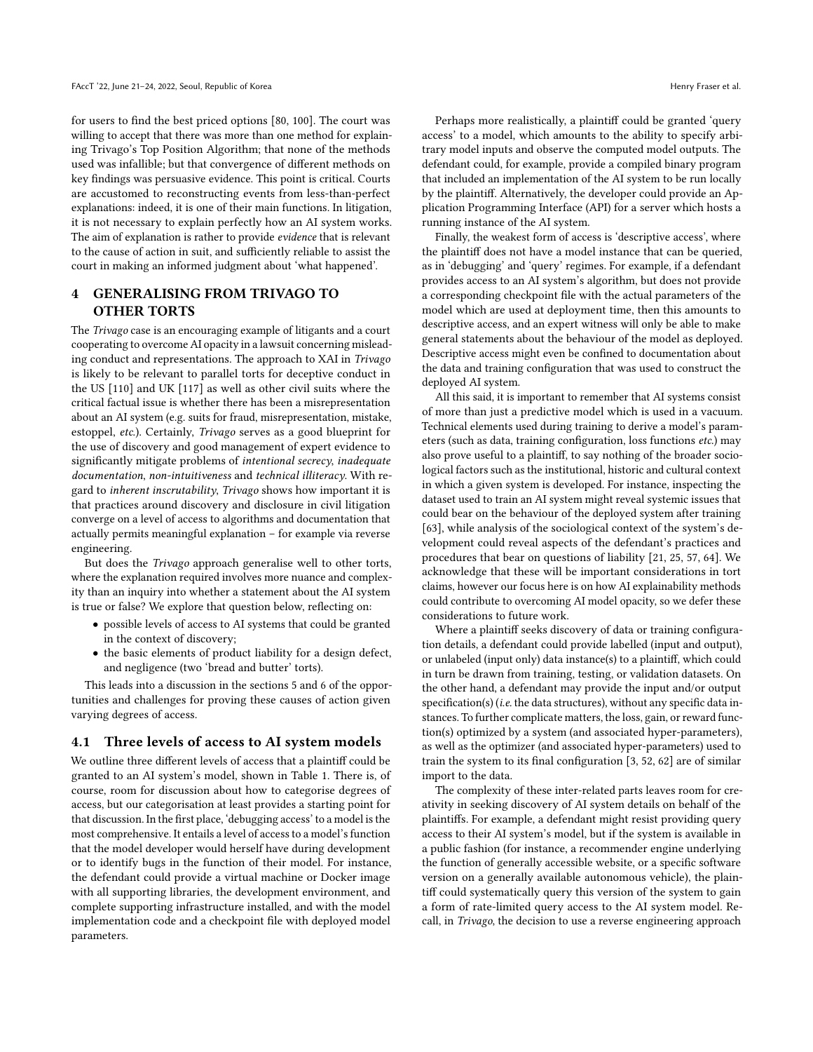for users to find the best priced options [\[80,](#page-11-6) [100\]](#page-11-7). The court was willing to accept that there was more than one method for explaining Trivago's Top Position Algorithm; that none of the methods used was infallible; but that convergence of different methods on key findings was persuasive evidence. This point is critical. Courts are accustomed to reconstructing events from less-than-perfect explanations: indeed, it is one of their main functions. In litigation, it is not necessary to explain perfectly how an AI system works. The aim of explanation is rather to provide evidence that is relevant to the cause of action in suit, and sufficiently reliable to assist the court in making an informed judgment about 'what happened'.

## 4 GENERALISING FROM TRIVAGO TO OTHER TORTS

The Trivago case is an encouraging example of litigants and a court cooperating to overcome AI opacity in a lawsuit concerning misleading conduct and representations. The approach to XAI in Trivago is likely to be relevant to parallel torts for deceptive conduct in the US [\[110\]](#page-11-25) and UK [\[117\]](#page-11-26) as well as other civil suits where the critical factual issue is whether there has been a misrepresentation about an AI system (e.g. suits for fraud, misrepresentation, mistake, estoppel, etc.). Certainly, Trivago serves as a good blueprint for the use of discovery and good management of expert evidence to significantly mitigate problems of intentional secrecy, inadequate documentation, non-intuitiveness and technical illiteracy. With regard to inherent inscrutability, Trivago shows how important it is that practices around discovery and disclosure in civil litigation converge on a level of access to algorithms and documentation that actually permits meaningful explanation – for example via reverse engineering.

But does the Trivago approach generalise well to other torts, where the explanation required involves more nuance and complexity than an inquiry into whether a statement about the AI system is true or false? We explore that question below, reflecting on:

- possible levels of access to AI systems that could be granted in the context of discovery;
- the basic elements of product liability for a design defect, and negligence (two 'bread and butter' torts).

This leads into a discussion in the sections 5 and 6 of the opportunities and challenges for proving these causes of action given varying degrees of access.

## 4.1 Three levels of access to AI system models

We outline three different levels of access that a plaintiff could be granted to an AI system's model, shown in Table [1.](#page-4-0) There is, of course, room for discussion about how to categorise degrees of access, but our categorisation at least provides a starting point for that discussion. In the first place, 'debugging access' to a model is the most comprehensive. It entails a level of access to a model's function that the model developer would herself have during development or to identify bugs in the function of their model. For instance, the defendant could provide a virtual machine or Docker image with all supporting libraries, the development environment, and complete supporting infrastructure installed, and with the model implementation code and a checkpoint file with deployed model parameters.

Perhaps more realistically, a plaintiff could be granted 'query access' to a model, which amounts to the ability to specify arbitrary model inputs and observe the computed model outputs. The defendant could, for example, provide a compiled binary program that included an implementation of the AI system to be run locally by the plaintiff. Alternatively, the developer could provide an Application Programming Interface (API) for a server which hosts a running instance of the AI system.

Finally, the weakest form of access is 'descriptive access', where the plaintiff does not have a model instance that can be queried, as in 'debugging' and 'query' regimes. For example, if a defendant provides access to an AI system's algorithm, but does not provide a corresponding checkpoint file with the actual parameters of the model which are used at deployment time, then this amounts to descriptive access, and an expert witness will only be able to make general statements about the behaviour of the model as deployed. Descriptive access might even be confined to documentation about the data and training configuration that was used to construct the deployed AI system.

All this said, it is important to remember that AI systems consist of more than just a predictive model which is used in a vacuum. Technical elements used during training to derive a model's parameters (such as data, training configuration, loss functions etc.) may also prove useful to a plaintiff, to say nothing of the broader sociological factors such as the institutional, historic and cultural context in which a given system is developed. For instance, inspecting the dataset used to train an AI system might reveal systemic issues that could bear on the behaviour of the deployed system after training [\[63\]](#page-11-27), while analysis of the sociological context of the system's development could reveal aspects of the defendant's practices and procedures that bear on questions of liability [\[21,](#page-10-31) [25,](#page-10-32) [57,](#page-11-28) [64\]](#page-11-29). We acknowledge that these will be important considerations in tort claims, however our focus here is on how AI explainability methods could contribute to overcoming AI model opacity, so we defer these considerations to future work.

Where a plaintiff seeks discovery of data or training configuration details, a defendant could provide labelled (input and output), or unlabeled (input only) data instance(s) to a plaintiff, which could in turn be drawn from training, testing, or validation datasets. On the other hand, a defendant may provide the input and/or output specification(s) (i.e. the data structures), without any specific data instances. To further complicate matters, the loss, gain, or reward function(s) optimized by a system (and associated hyper-parameters), as well as the optimizer (and associated hyper-parameters) used to train the system to its final configuration [\[3,](#page-10-33) [52,](#page-11-30) [62\]](#page-11-31) are of similar import to the data.

The complexity of these inter-related parts leaves room for creativity in seeking discovery of AI system details on behalf of the plaintiffs. For example, a defendant might resist providing query access to their AI system's model, but if the system is available in a public fashion (for instance, a recommender engine underlying the function of generally accessible website, or a specific software version on a generally available autonomous vehicle), the plaintiff could systematically query this version of the system to gain a form of rate-limited query access to the AI system model. Recall, in Trivago, the decision to use a reverse engineering approach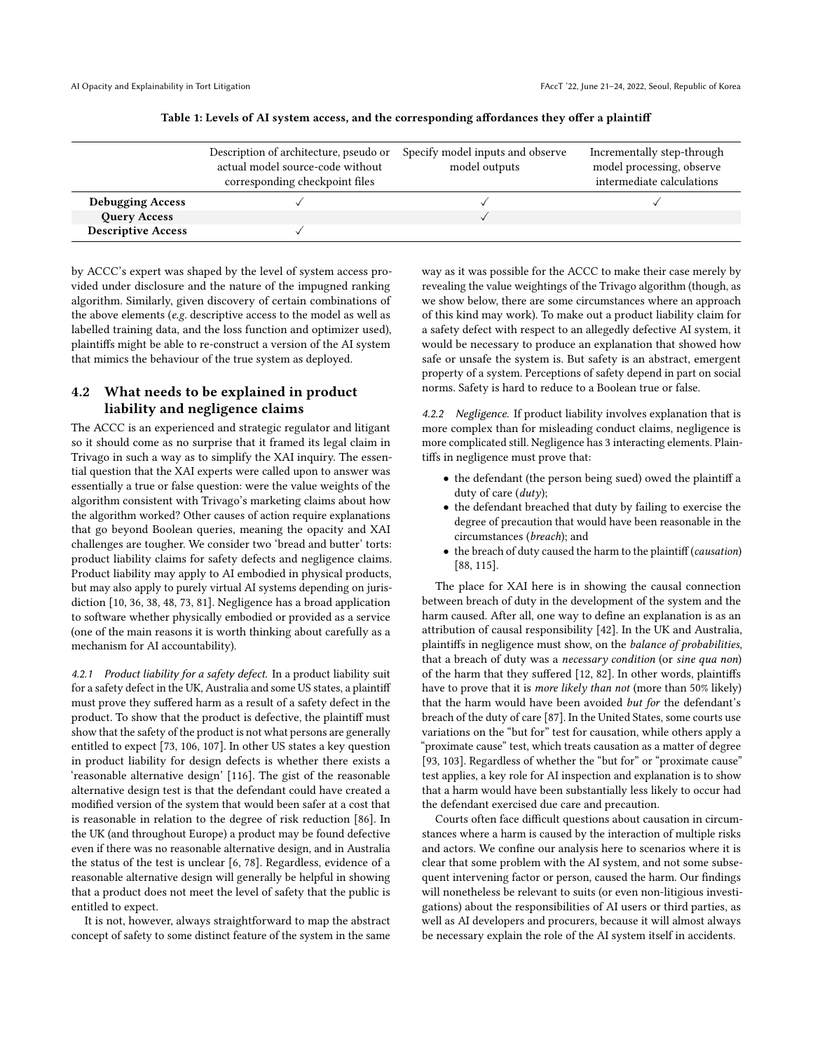<span id="page-4-0"></span>

|                           | Description of architecture, pseudo or<br>actual model source-code without<br>corresponding checkpoint files | Specify model inputs and observe<br>model outputs | Incrementally step-through<br>model processing, observe<br>intermediate calculations |
|---------------------------|--------------------------------------------------------------------------------------------------------------|---------------------------------------------------|--------------------------------------------------------------------------------------|
| <b>Debugging Access</b>   |                                                                                                              |                                                   |                                                                                      |
| <b>Query Access</b>       |                                                                                                              |                                                   |                                                                                      |
| <b>Descriptive Access</b> |                                                                                                              |                                                   |                                                                                      |

Table 1: Levels of AI system access, and the corresponding affordances they offer a plaintiff

by ACCC's expert was shaped by the level of system access provided under disclosure and the nature of the impugned ranking algorithm. Similarly, given discovery of certain combinations of the above elements (e.g. descriptive access to the model as well as labelled training data, and the loss function and optimizer used), plaintiffs might be able to re-construct a version of the AI system that mimics the behaviour of the true system as deployed.

## 4.2 What needs to be explained in product liability and negligence claims

The ACCC is an experienced and strategic regulator and litigant so it should come as no surprise that it framed its legal claim in Trivago in such a way as to simplify the XAI inquiry. The essential question that the XAI experts were called upon to answer was essentially a true or false question: were the value weights of the algorithm consistent with Trivago's marketing claims about how the algorithm worked? Other causes of action require explanations that go beyond Boolean queries, meaning the opacity and XAI challenges are tougher. We consider two 'bread and butter' torts: product liability claims for safety defects and negligence claims. Product liability may apply to AI embodied in physical products, but may also apply to purely virtual AI systems depending on jurisdiction [\[10,](#page-10-18) [36,](#page-10-34) [38,](#page-10-35) [48,](#page-10-36) [73,](#page-11-13) [81\]](#page-11-32). Negligence has a broad application to software whether physically embodied or provided as a service (one of the main reasons it is worth thinking about carefully as a mechanism for AI accountability).

4.2.1 Product liability for a safety defect. In a product liability suit for a safety defect in the UK, Australia and some US states, a plaintiff must prove they suffered harm as a result of a safety defect in the product. To show that the product is defective, the plaintiff must show that the safety of the product is not what persons are generally entitled to expect [\[73,](#page-11-13) [106,](#page-11-33) [107\]](#page-11-34). In other US states a key question in product liability for design defects is whether there exists a 'reasonable alternative design' [\[116\]](#page-11-35). The gist of the reasonable alternative design test is that the defendant could have created a modified version of the system that would been safer at a cost that is reasonable in relation to the degree of risk reduction [\[86\]](#page-11-36). In the UK (and throughout Europe) a product may be found defective even if there was no reasonable alternative design, and in Australia the status of the test is unclear [\[6,](#page-10-37) [78\]](#page-11-37). Regardless, evidence of a reasonable alternative design will generally be helpful in showing that a product does not meet the level of safety that the public is entitled to expect.

It is not, however, always straightforward to map the abstract concept of safety to some distinct feature of the system in the same way as it was possible for the ACCC to make their case merely by revealing the value weightings of the Trivago algorithm (though, as we show below, there are some circumstances where an approach of this kind may work). To make out a product liability claim for a safety defect with respect to an allegedly defective AI system, it would be necessary to produce an explanation that showed how safe or unsafe the system is. But safety is an abstract, emergent property of a system. Perceptions of safety depend in part on social norms. Safety is hard to reduce to a Boolean true or false.

4.2.2 Negligence. If product liability involves explanation that is more complex than for misleading conduct claims, negligence is more complicated still. Negligence has 3 interacting elements. Plaintiffs in negligence must prove that:

- the defendant (the person being sued) owed the plaintiff a duty of care (duty);
- the defendant breached that duty by failing to exercise the degree of precaution that would have been reasonable in the circumstances (breach); and
- the breach of duty caused the harm to the plaintiff (causation) [\[88,](#page-11-38) [115\]](#page-11-39).

The place for XAI here is in showing the causal connection between breach of duty in the development of the system and the harm caused. After all, one way to define an explanation is as an attribution of causal responsibility [\[42\]](#page-10-38). In the UK and Australia, plaintiffs in negligence must show, on the balance of probabilities, that a breach of duty was a necessary condition (or sine qua non) of the harm that they suffered [\[12,](#page-10-39) [82\]](#page-11-40). In other words, plaintiffs have to prove that it is more likely than not (more than 50% likely) that the harm would have been avoided but for the defendant's breach of the duty of care [\[87\]](#page-11-41). In the United States, some courts use variations on the "but for" test for causation, while others apply a "proximate cause" test, which treats causation as a matter of degree [\[93,](#page-11-42) [103\]](#page-11-43). Regardless of whether the "but for" or "proximate cause" test applies, a key role for AI inspection and explanation is to show that a harm would have been substantially less likely to occur had the defendant exercised due care and precaution.

Courts often face difficult questions about causation in circumstances where a harm is caused by the interaction of multiple risks and actors. We confine our analysis here to scenarios where it is clear that some problem with the AI system, and not some subsequent intervening factor or person, caused the harm. Our findings will nonetheless be relevant to suits (or even non-litigious investigations) about the responsibilities of AI users or third parties, as well as AI developers and procurers, because it will almost always be necessary explain the role of the AI system itself in accidents.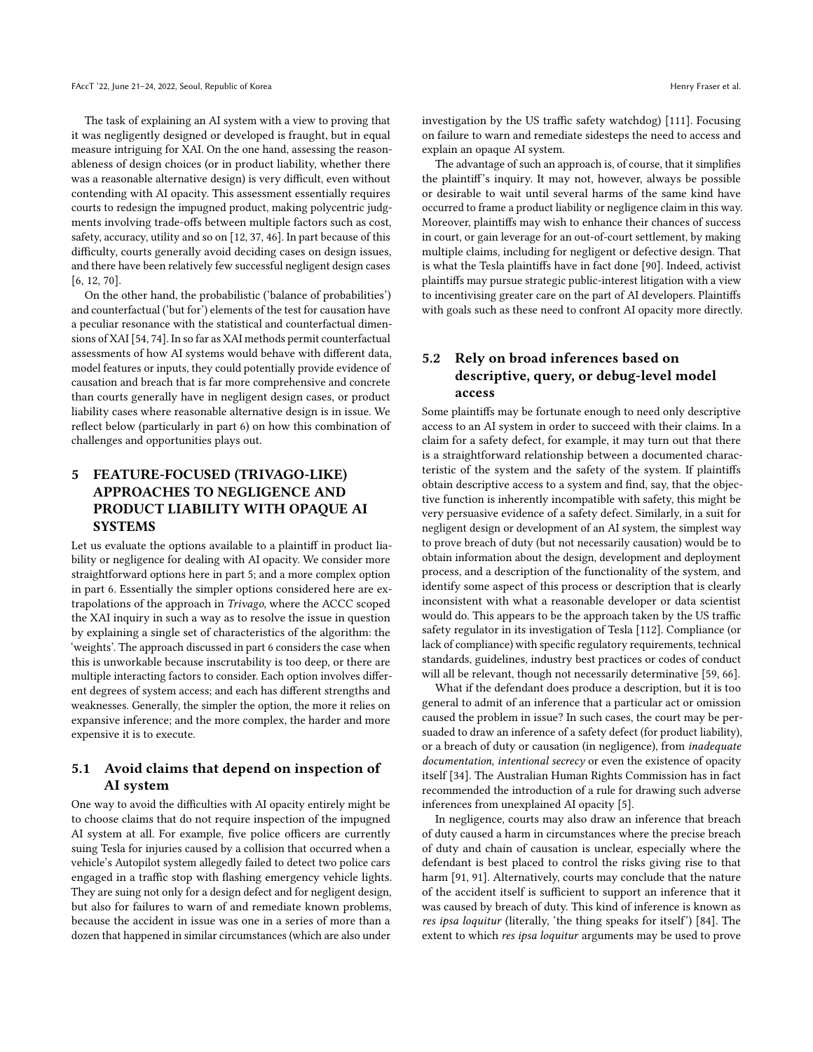The task of explaining an AI system with a view to proving that it was negligently designed or developed is fraught, but in equal measure intriguing for XAI. On the one hand, assessing the reasonableness of design choices (or in product liability, whether there was a reasonable alternative design) is very difficult, even without contending with AI opacity. This assessment essentially requires courts to redesign the impugned product, making polycentric judgments involving trade-offs between multiple factors such as cost, safety, accuracy, utility and so on [\[12,](#page-10-39) [37,](#page-10-40) [46\]](#page-10-41). In part because of this difficulty, courts generally avoid deciding cases on design issues, and there have been relatively few successful negligent design cases [\[6,](#page-10-37) [12,](#page-10-39) [70\]](#page-11-44).

On the other hand, the probabilistic ('balance of probabilities') and counterfactual ('but for') elements of the test for causation have a peculiar resonance with the statistical and counterfactual dimensions of XAI [\[54,](#page-11-2) [74\]](#page-11-5). In so far as XAI methods permit counterfactual assessments of how AI systems would behave with different data, model features or inputs, they could potentially provide evidence of causation and breach that is far more comprehensive and concrete than courts generally have in negligent design cases, or product liability cases where reasonable alternative design is in issue. We reflect below (particularly in part 6) on how this combination of challenges and opportunities plays out.

# 5 FEATURE-FOCUSED (TRIVAGO-LIKE) APPROACHES TO NEGLIGENCE AND PRODUCT LIABILITY WITH OPAQUE AI **SYSTEMS**

Let us evaluate the options available to a plaintiff in product liability or negligence for dealing with AI opacity. We consider more straightforward options here in part 5; and a more complex option in part 6. Essentially the simpler options considered here are extrapolations of the approach in Trivago, where the ACCC scoped the XAI inquiry in such a way as to resolve the issue in question by explaining a single set of characteristics of the algorithm: the 'weights'. The approach discussed in part 6 considers the case when this is unworkable because inscrutability is too deep, or there are multiple interacting factors to consider. Each option involves different degrees of system access; and each has different strengths and weaknesses. Generally, the simpler the option, the more it relies on expansive inference; and the more complex, the harder and more expensive it is to execute.

## 5.1 Avoid claims that depend on inspection of AI system

One way to avoid the difficulties with AI opacity entirely might be to choose claims that do not require inspection of the impugned AI system at all. For example, five police officers are currently suing Tesla for injuries caused by a collision that occurred when a vehicle's Autopilot system allegedly failed to detect two police cars engaged in a traffic stop with flashing emergency vehicle lights. They are suing not only for a design defect and for negligent design, but also for failures to warn of and remediate known problems, because the accident in issue was one in a series of more than a dozen that happened in similar circumstances (which are also under

investigation by the US traffic safety watchdog) [\[111\]](#page-11-45). Focusing on failure to warn and remediate sidesteps the need to access and explain an opaque AI system.

The advantage of such an approach is, of course, that it simplifies the plaintiff's inquiry. It may not, however, always be possible or desirable to wait until several harms of the same kind have occurred to frame a product liability or negligence claim in this way. Moreover, plaintiffs may wish to enhance their chances of success in court, or gain leverage for an out-of-court settlement, by making multiple claims, including for negligent or defective design. That is what the Tesla plaintiffs have in fact done [\[90\]](#page-11-3). Indeed, activist plaintiffs may pursue strategic public-interest litigation with a view to incentivising greater care on the part of AI developers. Plaintiffs with goals such as these need to confront AI opacity more directly.

# 5.2 Rely on broad inferences based on descriptive, query, or debug-level model access

Some plaintiffs may be fortunate enough to need only descriptive access to an AI system in order to succeed with their claims. In a claim for a safety defect, for example, it may turn out that there is a straightforward relationship between a documented characteristic of the system and the safety of the system. If plaintiffs obtain descriptive access to a system and find, say, that the objective function is inherently incompatible with safety, this might be very persuasive evidence of a safety defect. Similarly, in a suit for negligent design or development of an AI system, the simplest way to prove breach of duty (but not necessarily causation) would be to obtain information about the design, development and deployment process, and a description of the functionality of the system, and identify some aspect of this process or description that is clearly inconsistent with what a reasonable developer or data scientist would do. This appears to be the approach taken by the US traffic safety regulator in its investigation of Tesla [\[112\]](#page-11-46). Compliance (or lack of compliance) with specific regulatory requirements, technical standards, guidelines, industry best practices or codes of conduct will all be relevant, though not necessarily determinative [\[59,](#page-11-47) [66\]](#page-11-48).

What if the defendant does produce a description, but it is too general to admit of an inference that a particular act or omission caused the problem in issue? In such cases, the court may be persuaded to draw an inference of a safety defect (for product liability), or a breach of duty or causation (in negligence), from inadequate documentation, intentional secrecy or even the existence of opacity itself [\[34\]](#page-10-9). The Australian Human Rights Commission has in fact recommended the introduction of a rule for drawing such adverse inferences from unexplained AI opacity [\[5\]](#page-10-6).

In negligence, courts may also draw an inference that breach of duty caused a harm in circumstances where the precise breach of duty and chain of causation is unclear, especially where the defendant is best placed to control the risks giving rise to that harm [\[91,](#page-11-49) [91\]](#page-11-49). Alternatively, courts may conclude that the nature of the accident itself is sufficient to support an inference that it was caused by breach of duty. This kind of inference is known as res ipsa loquitur (literally, 'the thing speaks for itself') [\[84\]](#page-11-50). The extent to which res ipsa loquitur arguments may be used to prove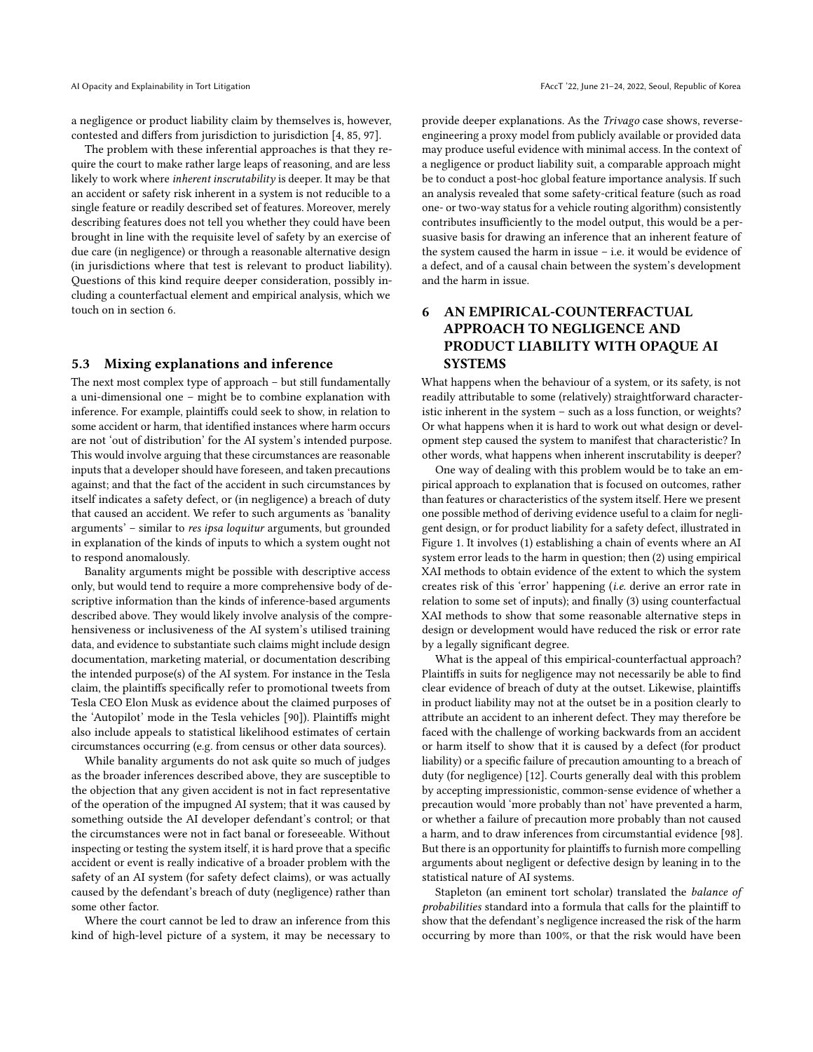a negligence or product liability claim by themselves is, however, contested and differs from jurisdiction to jurisdiction [\[4,](#page-10-42) [85,](#page-11-51) [97\]](#page-11-52).

The problem with these inferential approaches is that they require the court to make rather large leaps of reasoning, and are less likely to work where inherent inscrutability is deeper. It may be that an accident or safety risk inherent in a system is not reducible to a single feature or readily described set of features. Moreover, merely describing features does not tell you whether they could have been brought in line with the requisite level of safety by an exercise of due care (in negligence) or through a reasonable alternative design (in jurisdictions where that test is relevant to product liability). Questions of this kind require deeper consideration, possibly including a counterfactual element and empirical analysis, which we touch on in section 6.

#### 5.3 Mixing explanations and inference

The next most complex type of approach – but still fundamentally a uni-dimensional one – might be to combine explanation with inference. For example, plaintiffs could seek to show, in relation to some accident or harm, that identified instances where harm occurs are not 'out of distribution' for the AI system's intended purpose. This would involve arguing that these circumstances are reasonable inputs that a developer should have foreseen, and taken precautions against; and that the fact of the accident in such circumstances by itself indicates a safety defect, or (in negligence) a breach of duty that caused an accident. We refer to such arguments as 'banality arguments' – similar to res ipsa loquitur arguments, but grounded in explanation of the kinds of inputs to which a system ought not to respond anomalously.

Banality arguments might be possible with descriptive access only, but would tend to require a more comprehensive body of descriptive information than the kinds of inference-based arguments described above. They would likely involve analysis of the comprehensiveness or inclusiveness of the AI system's utilised training data, and evidence to substantiate such claims might include design documentation, marketing material, or documentation describing the intended purpose(s) of the AI system. For instance in the Tesla claim, the plaintiffs specifically refer to promotional tweets from Tesla CEO Elon Musk as evidence about the claimed purposes of the 'Autopilot' mode in the Tesla vehicles [\[90\]](#page-11-3)). Plaintiffs might also include appeals to statistical likelihood estimates of certain circumstances occurring (e.g. from census or other data sources).

While banality arguments do not ask quite so much of judges as the broader inferences described above, they are susceptible to the objection that any given accident is not in fact representative of the operation of the impugned AI system; that it was caused by something outside the AI developer defendant's control; or that the circumstances were not in fact banal or foreseeable. Without inspecting or testing the system itself, it is hard prove that a specific accident or event is really indicative of a broader problem with the safety of an AI system (for safety defect claims), or was actually caused by the defendant's breach of duty (negligence) rather than some other factor.

Where the court cannot be led to draw an inference from this kind of high-level picture of a system, it may be necessary to provide deeper explanations. As the Trivago case shows, reverseengineering a proxy model from publicly available or provided data may produce useful evidence with minimal access. In the context of a negligence or product liability suit, a comparable approach might be to conduct a post-hoc global feature importance analysis. If such an analysis revealed that some safety-critical feature (such as road one- or two-way status for a vehicle routing algorithm) consistently contributes insufficiently to the model output, this would be a persuasive basis for drawing an inference that an inherent feature of the system caused the harm in issue – i.e. it would be evidence of a defect, and of a causal chain between the system's development and the harm in issue.

# 6 AN EMPIRICAL-COUNTERFACTUAL APPROACH TO NEGLIGENCE AND PRODUCT LIABILITY WITH OPAQUE AI SYSTEMS

What happens when the behaviour of a system, or its safety, is not readily attributable to some (relatively) straightforward characteristic inherent in the system – such as a loss function, or weights? Or what happens when it is hard to work out what design or development step caused the system to manifest that characteristic? In other words, what happens when inherent inscrutability is deeper?

One way of dealing with this problem would be to take an empirical approach to explanation that is focused on outcomes, rather than features or characteristics of the system itself. Here we present one possible method of deriving evidence useful to a claim for negligent design, or for product liability for a safety defect, illustrated in Figure [1.](#page-7-0) It involves (1) establishing a chain of events where an AI system error leads to the harm in question; then (2) using empirical XAI methods to obtain evidence of the extent to which the system creates risk of this 'error' happening (i.e. derive an error rate in relation to some set of inputs); and finally (3) using counterfactual XAI methods to show that some reasonable alternative steps in design or development would have reduced the risk or error rate by a legally significant degree.

What is the appeal of this empirical-counterfactual approach? Plaintiffs in suits for negligence may not necessarily be able to find clear evidence of breach of duty at the outset. Likewise, plaintiffs in product liability may not at the outset be in a position clearly to attribute an accident to an inherent defect. They may therefore be faced with the challenge of working backwards from an accident or harm itself to show that it is caused by a defect (for product liability) or a specific failure of precaution amounting to a breach of duty (for negligence) [\[12\]](#page-10-39). Courts generally deal with this problem by accepting impressionistic, common-sense evidence of whether a precaution would 'more probably than not' have prevented a harm, or whether a failure of precaution more probably than not caused a harm, and to draw inferences from circumstantial evidence [\[98\]](#page-11-53). But there is an opportunity for plaintiffs to furnish more compelling arguments about negligent or defective design by leaning in to the statistical nature of AI systems.

Stapleton (an eminent tort scholar) translated the balance of probabilities standard into a formula that calls for the plaintiff to show that the defendant's negligence increased the risk of the harm occurring by more than 100%, or that the risk would have been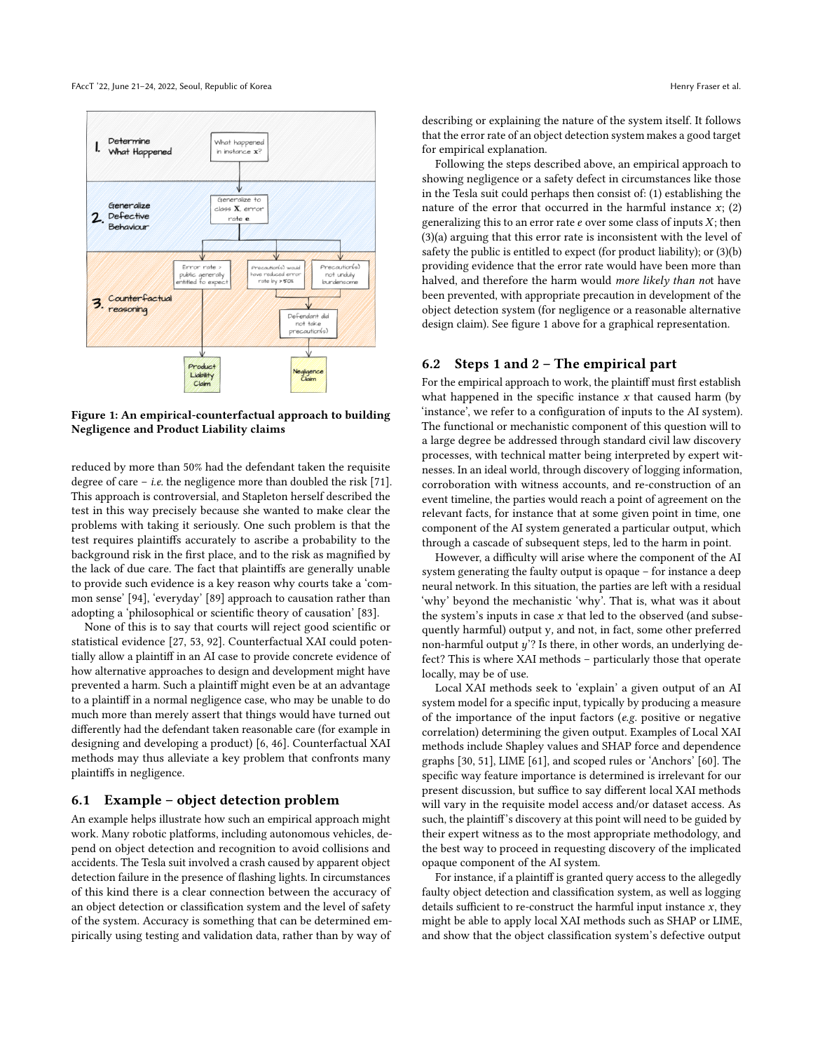<span id="page-7-0"></span>

Figure 1: An empirical-counterfactual approach to building Negligence and Product Liability claims

reduced by more than 50% had the defendant taken the requisite degree of care – i.e. the negligence more than doubled the risk [\[71\]](#page-11-54). This approach is controversial, and Stapleton herself described the test in this way precisely because she wanted to make clear the problems with taking it seriously. One such problem is that the test requires plaintiffs accurately to ascribe a probability to the background risk in the first place, and to the risk as magnified by the lack of due care. The fact that plaintiffs are generally unable to provide such evidence is a key reason why courts take a 'common sense' [\[94\]](#page-11-55), 'everyday' [\[89\]](#page-11-56) approach to causation rather than adopting a 'philosophical or scientific theory of causation' [\[83\]](#page-11-57).

None of this is to say that courts will reject good scientific or statistical evidence [\[27,](#page-10-43) [53,](#page-11-58) [92\]](#page-11-59). Counterfactual XAI could potentially allow a plaintiff in an AI case to provide concrete evidence of how alternative approaches to design and development might have prevented a harm. Such a plaintiff might even be at an advantage to a plaintiff in a normal negligence case, who may be unable to do much more than merely assert that things would have turned out differently had the defendant taken reasonable care (for example in designing and developing a product) [\[6,](#page-10-37) [46\]](#page-10-41). Counterfactual XAI methods may thus alleviate a key problem that confronts many plaintiffs in negligence.

#### 6.1 Example – object detection problem

An example helps illustrate how such an empirical approach might work. Many robotic platforms, including autonomous vehicles, depend on object detection and recognition to avoid collisions and accidents. The Tesla suit involved a crash caused by apparent object detection failure in the presence of flashing lights. In circumstances of this kind there is a clear connection between the accuracy of an object detection or classification system and the level of safety of the system. Accuracy is something that can be determined empirically using testing and validation data, rather than by way of

describing or explaining the nature of the system itself. It follows that the error rate of an object detection system makes a good target for empirical explanation.

Following the steps described above, an empirical approach to showing negligence or a safety defect in circumstances like those in the Tesla suit could perhaps then consist of: (1) establishing the nature of the error that occurred in the harmful instance  $x$ ; (2) generalizing this to an error rate  $e$  over some class of inputs  $X$ ; then (3)(a) arguing that this error rate is inconsistent with the level of safety the public is entitled to expect (for product liability); or (3)(b) providing evidence that the error rate would have been more than halved, and therefore the harm would more likely than not have been prevented, with appropriate precaution in development of the object detection system (for negligence or a reasonable alternative design claim). See figure [1](#page-7-0) above for a graphical representation.

#### 6.2 Steps 1 and 2 – The empirical part

For the empirical approach to work, the plaintiff must first establish what happened in the specific instance  $x$  that caused harm (by 'instance', we refer to a configuration of inputs to the AI system). The functional or mechanistic component of this question will to a large degree be addressed through standard civil law discovery processes, with technical matter being interpreted by expert witnesses. In an ideal world, through discovery of logging information, corroboration with witness accounts, and re-construction of an event timeline, the parties would reach a point of agreement on the relevant facts, for instance that at some given point in time, one component of the AI system generated a particular output, which through a cascade of subsequent steps, led to the harm in point.

However, a difficulty will arise where the component of the AI system generating the faulty output is opaque – for instance a deep neural network. In this situation, the parties are left with a residual 'why' beyond the mechanistic 'why'. That is, what was it about the system's inputs in case  $x$  that led to the observed (and subsequently harmful) output y, and not, in fact, some other preferred non-harmful output  $y$ ? Is there, in other words, an underlying defect? This is where XAI methods – particularly those that operate locally, may be of use.

Local XAI methods seek to 'explain' a given output of an AI system model for a specific input, typically by producing a measure of the importance of the input factors (e.g. positive or negative correlation) determining the given output. Examples of Local XAI methods include Shapley values and SHAP force and dependence graphs [\[30,](#page-10-44) [51\]](#page-10-45), LIME [\[61\]](#page-11-60), and scoped rules or 'Anchors' [\[60\]](#page-11-61). The specific way feature importance is determined is irrelevant for our present discussion, but suffice to say different local XAI methods will vary in the requisite model access and/or dataset access. As such, the plaintiff's discovery at this point will need to be guided by their expert witness as to the most appropriate methodology, and the best way to proceed in requesting discovery of the implicated opaque component of the AI system.

For instance, if a plaintiff is granted query access to the allegedly faulty object detection and classification system, as well as logging details sufficient to re-construct the harmful input instance  $x$ , they might be able to apply local XAI methods such as SHAP or LIME, and show that the object classification system's defective output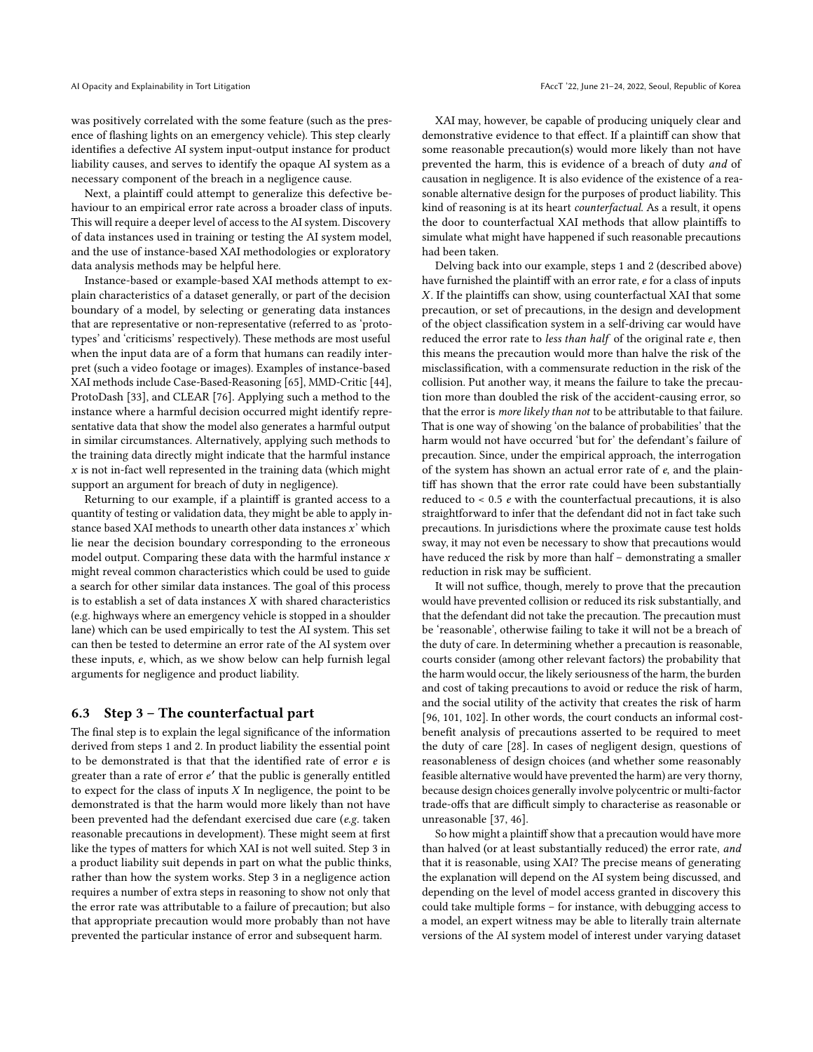was positively correlated with the some feature (such as the presence of flashing lights on an emergency vehicle). This step clearly identifies a defective AI system input-output instance for product liability causes, and serves to identify the opaque AI system as a necessary component of the breach in a negligence cause.

Next, a plaintiff could attempt to generalize this defective behaviour to an empirical error rate across a broader class of inputs. This will require a deeper level of access to the AI system. Discovery of data instances used in training or testing the AI system model, and the use of instance-based XAI methodologies or exploratory data analysis methods may be helpful here.

Instance-based or example-based XAI methods attempt to explain characteristics of a dataset generally, or part of the decision boundary of a model, by selecting or generating data instances that are representative or non-representative (referred to as 'prototypes' and 'criticisms' respectively). These methods are most useful when the input data are of a form that humans can readily interpret (such a video footage or images). Examples of instance-based XAI methods include Case-Based-Reasoning [\[65\]](#page-11-62), MMD-Critic [\[44\]](#page-10-46), ProtoDash [\[33\]](#page-10-47), and CLEAR [\[76\]](#page-11-63). Applying such a method to the instance where a harmful decision occurred might identify representative data that show the model also generates a harmful output in similar circumstances. Alternatively, applying such methods to the training data directly might indicate that the harmful instance  $x$  is not in-fact well represented in the training data (which might support an argument for breach of duty in negligence).

Returning to our example, if a plaintiff is granted access to a quantity of testing or validation data, they might be able to apply instance based XAI methods to unearth other data instances x' which lie near the decision boundary corresponding to the erroneous model output. Comparing these data with the harmful instance  $x$ might reveal common characteristics which could be used to guide a search for other similar data instances. The goal of this process is to establish a set of data instances  $X$  with shared characteristics (e.g. highways where an emergency vehicle is stopped in a shoulder lane) which can be used empirically to test the AI system. This set can then be tested to determine an error rate of the AI system over these inputs, e, which, as we show below can help furnish legal arguments for negligence and product liability.

#### 6.3 Step 3 – The counterfactual part

The final step is to explain the legal significance of the information derived from steps 1 and 2. In product liability the essential point to be demonstrated is that that the identified rate of error e is greater than a rate of error  $e'$  that the public is generally entitled<br>to expect for the class of inputs Y In perlicence, the point to be to expect for the class of inputs  $X$  In negligence, the point to be demonstrated is that the harm would more likely than not have been prevented had the defendant exercised due care (e.g. taken reasonable precautions in development). These might seem at first like the types of matters for which XAI is not well suited. Step 3 in a product liability suit depends in part on what the public thinks, rather than how the system works. Step 3 in a negligence action requires a number of extra steps in reasoning to show not only that the error rate was attributable to a failure of precaution; but also that appropriate precaution would more probably than not have prevented the particular instance of error and subsequent harm.

XAI may, however, be capable of producing uniquely clear and demonstrative evidence to that effect. If a plaintiff can show that some reasonable precaution(s) would more likely than not have prevented the harm, this is evidence of a breach of duty and of causation in negligence. It is also evidence of the existence of a reasonable alternative design for the purposes of product liability. This kind of reasoning is at its heart counterfactual. As a result, it opens the door to counterfactual XAI methods that allow plaintiffs to simulate what might have happened if such reasonable precautions had been taken.

Delving back into our example, steps 1 and 2 (described above) have furnished the plaintiff with an error rate, e for a class of inputs X. If the plaintiffs can show, using counterfactual XAI that some precaution, or set of precautions, in the design and development of the object classification system in a self-driving car would have reduced the error rate to less than half of the original rate e, then this means the precaution would more than halve the risk of the misclassification, with a commensurate reduction in the risk of the collision. Put another way, it means the failure to take the precaution more than doubled the risk of the accident-causing error, so that the error is more likely than not to be attributable to that failure. That is one way of showing 'on the balance of probabilities' that the harm would not have occurred 'but for' the defendant's failure of precaution. Since, under the empirical approach, the interrogation of the system has shown an actual error rate of e, and the plaintiff has shown that the error rate could have been substantially reduced to < 0.5 e with the counterfactual precautions, it is also straightforward to infer that the defendant did not in fact take such precautions. In jurisdictions where the proximate cause test holds sway, it may not even be necessary to show that precautions would have reduced the risk by more than half – demonstrating a smaller reduction in risk may be sufficient.

It will not suffice, though, merely to prove that the precaution would have prevented collision or reduced its risk substantially, and that the defendant did not take the precaution. The precaution must be 'reasonable', otherwise failing to take it will not be a breach of the duty of care. In determining whether a precaution is reasonable, courts consider (among other relevant factors) the probability that the harm would occur, the likely seriousness of the harm, the burden and cost of taking precautions to avoid or reduce the risk of harm, and the social utility of the activity that creates the risk of harm [\[96,](#page-11-64) [101,](#page-11-65) [102\]](#page-11-66). In other words, the court conducts an informal costbenefit analysis of precautions asserted to be required to meet the duty of care [\[28\]](#page-10-48). In cases of negligent design, questions of reasonableness of design choices (and whether some reasonably feasible alternative would have prevented the harm) are very thorny, because design choices generally involve polycentric or multi-factor trade-offs that are difficult simply to characterise as reasonable or unreasonable [\[37,](#page-10-40) [46\]](#page-10-41).

So how might a plaintiff show that a precaution would have more than halved (or at least substantially reduced) the error rate, and that it is reasonable, using XAI? The precise means of generating the explanation will depend on the AI system being discussed, and depending on the level of model access granted in discovery this could take multiple forms – for instance, with debugging access to a model, an expert witness may be able to literally train alternate versions of the AI system model of interest under varying dataset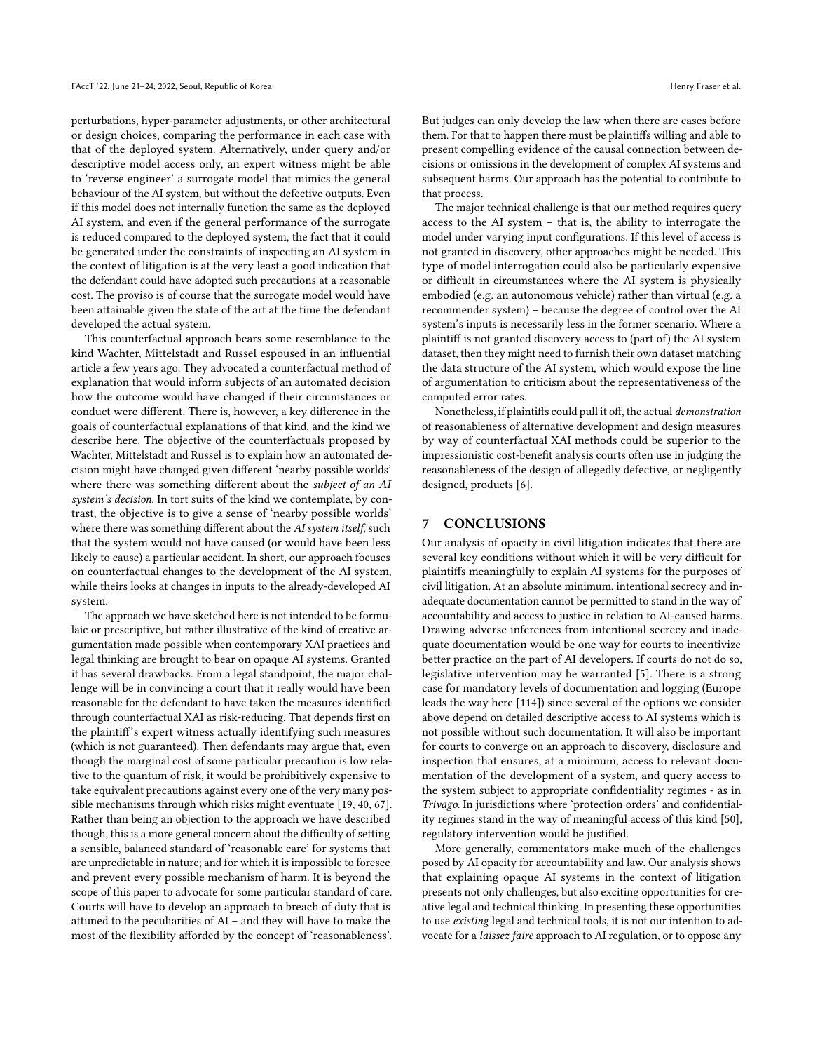perturbations, hyper-parameter adjustments, or other architectural or design choices, comparing the performance in each case with that of the deployed system. Alternatively, under query and/or descriptive model access only, an expert witness might be able to 'reverse engineer' a surrogate model that mimics the general behaviour of the AI system, but without the defective outputs. Even if this model does not internally function the same as the deployed AI system, and even if the general performance of the surrogate is reduced compared to the deployed system, the fact that it could be generated under the constraints of inspecting an AI system in the context of litigation is at the very least a good indication that the defendant could have adopted such precautions at a reasonable cost. The proviso is of course that the surrogate model would have been attainable given the state of the art at the time the defendant developed the actual system.

This counterfactual approach bears some resemblance to the kind Wachter, Mittelstadt and Russel espoused in an influential article a few years ago. They advocated a counterfactual method of explanation that would inform subjects of an automated decision how the outcome would have changed if their circumstances or conduct were different. There is, however, a key difference in the goals of counterfactual explanations of that kind, and the kind we describe here. The objective of the counterfactuals proposed by Wachter, Mittelstadt and Russel is to explain how an automated decision might have changed given different 'nearby possible worlds' where there was something different about the subject of an AI system's decision. In tort suits of the kind we contemplate, by contrast, the objective is to give a sense of 'nearby possible worlds' where there was something different about the AI system itself, such that the system would not have caused (or would have been less likely to cause) a particular accident. In short, our approach focuses on counterfactual changes to the development of the AI system, while theirs looks at changes in inputs to the already-developed AI system.

The approach we have sketched here is not intended to be formulaic or prescriptive, but rather illustrative of the kind of creative argumentation made possible when contemporary XAI practices and legal thinking are brought to bear on opaque AI systems. Granted it has several drawbacks. From a legal standpoint, the major challenge will be in convincing a court that it really would have been reasonable for the defendant to have taken the measures identified through counterfactual XAI as risk-reducing. That depends first on the plaintiff's expert witness actually identifying such measures (which is not guaranteed). Then defendants may argue that, even though the marginal cost of some particular precaution is low relative to the quantum of risk, it would be prohibitively expensive to take equivalent precautions against every one of the very many possible mechanisms through which risks might eventuate [\[19,](#page-10-49) [40,](#page-10-50) [67\]](#page-11-11). Rather than being an objection to the approach we have described though, this is a more general concern about the difficulty of setting a sensible, balanced standard of 'reasonable care' for systems that are unpredictable in nature; and for which it is impossible to foresee and prevent every possible mechanism of harm. It is beyond the scope of this paper to advocate for some particular standard of care. Courts will have to develop an approach to breach of duty that is attuned to the peculiarities of AI – and they will have to make the most of the flexibility afforded by the concept of 'reasonableness'.

But judges can only develop the law when there are cases before them. For that to happen there must be plaintiffs willing and able to present compelling evidence of the causal connection between decisions or omissions in the development of complex AI systems and subsequent harms. Our approach has the potential to contribute to that process.

The major technical challenge is that our method requires query access to the AI system – that is, the ability to interrogate the model under varying input configurations. If this level of access is not granted in discovery, other approaches might be needed. This type of model interrogation could also be particularly expensive or difficult in circumstances where the AI system is physically embodied (e.g. an autonomous vehicle) rather than virtual (e.g. a recommender system) – because the degree of control over the AI system's inputs is necessarily less in the former scenario. Where a plaintiff is not granted discovery access to (part of) the AI system dataset, then they might need to furnish their own dataset matching the data structure of the AI system, which would expose the line of argumentation to criticism about the representativeness of the computed error rates.

Nonetheless, if plaintiffs could pull it off, the actual demonstration of reasonableness of alternative development and design measures by way of counterfactual XAI methods could be superior to the impressionistic cost-benefit analysis courts often use in judging the reasonableness of the design of allegedly defective, or negligently designed, products [\[6\]](#page-10-37).

### 7 CONCLUSIONS

Our analysis of opacity in civil litigation indicates that there are several key conditions without which it will be very difficult for plaintiffs meaningfully to explain AI systems for the purposes of civil litigation. At an absolute minimum, intentional secrecy and inadequate documentation cannot be permitted to stand in the way of accountability and access to justice in relation to AI-caused harms. Drawing adverse inferences from intentional secrecy and inadequate documentation would be one way for courts to incentivize better practice on the part of AI developers. If courts do not do so, legislative intervention may be warranted [\[5\]](#page-10-6). There is a strong case for mandatory levels of documentation and logging (Europe leads the way here [\[114\]](#page-11-67)) since several of the options we consider above depend on detailed descriptive access to AI systems which is not possible without such documentation. It will also be important for courts to converge on an approach to discovery, disclosure and inspection that ensures, at a minimum, access to relevant documentation of the development of a system, and query access to the system subject to appropriate confidentiality regimes - as in Trivago. In jurisdictions where 'protection orders' and confidentiality regimes stand in the way of meaningful access of this kind [\[50\]](#page-10-27), regulatory intervention would be justified.

More generally, commentators make much of the challenges posed by AI opacity for accountability and law. Our analysis shows that explaining opaque AI systems in the context of litigation presents not only challenges, but also exciting opportunities for creative legal and technical thinking. In presenting these opportunities to use existing legal and technical tools, it is not our intention to advocate for a laissez faire approach to AI regulation, or to oppose any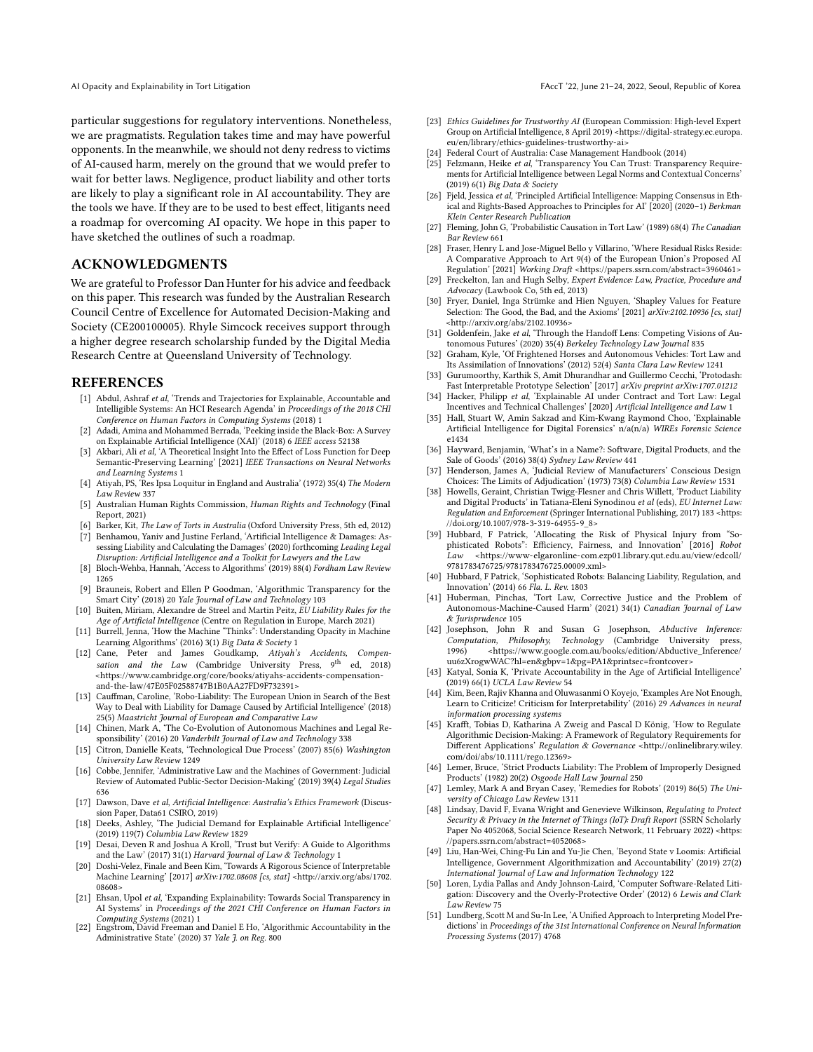particular suggestions for regulatory interventions. Nonetheless, we are pragmatists. Regulation takes time and may have powerful opponents. In the meanwhile, we should not deny redress to victims of AI-caused harm, merely on the ground that we would prefer to wait for better laws. Negligence, product liability and other torts are likely to play a significant role in AI accountability. They are the tools we have. If they are to be used to best effect, litigants need a roadmap for overcoming AI opacity. We hope in this paper to have sketched the outlines of such a roadmap.

### ACKNOWLEDGMENTS

We are grateful to Professor Dan Hunter for his advice and feedback on this paper. This research was funded by the Australian Research Council Centre of Excellence for Automated Decision-Making and Society (CE200100005). Rhyle Simcock receives support through a higher degree research scholarship funded by the Digital Media Research Centre at Queensland University of Technology.

#### **REFERENCES**

- <span id="page-10-3"></span>[1] Abdul, Ashraf et al, 'Trends and Trajectories for Explainable, Accountable and Intelligible Systems: An HCI Research Agenda' in Proceedings of the 2018 CHI Conference on Human Factors in Computing Systems (2018) 1
- <span id="page-10-4"></span>Adadi, Amina and Mohammed Berrada, 'Peeking inside the Black-Box: A Survey on Explainable Artificial Intelligence (XAI)' (2018) 6 IEEE access 52138
- <span id="page-10-33"></span>[3] Akbari, Ali et al, 'A Theoretical Insight Into the Effect of Loss Function for Deep Semantic-Preserving Learning' [2021] IEEE Transactions on Neural Networks and Learning Systems 1
- <span id="page-10-42"></span>[4] Atiyah, PS, 'Res Ipsa Loquitur in England and Australia' (1972) 35(4) The Modern Law Review 337
- <span id="page-10-6"></span>[5] Australian Human Rights Commission, Human Rights and Technology (Final Report, 2021)
- <span id="page-10-37"></span>Barker, Kit, The Law of Torts in Australia (Oxford University Press, 5th ed, 2012)
- <span id="page-10-17"></span>Benhamou, Yaniv and Justine Ferland, 'Artificial Intelligence & Damages: Assessing Liability and Calculating the Damages' (2020) forthcoming Leading Legal Disruption: Artificial Intelligence and a Toolkit for Lawyers and the Law
- <span id="page-10-12"></span>[8] Bloch-Wehba, Hannah, 'Access to Algorithms' (2019) 88(4) Fordham Law Review 1265
- <span id="page-10-15"></span>[9] Brauneis, Robert and Ellen P Goodman, 'Algorithmic Transparency for the Smart City' (2018) 20 Yale Journal of Law and Technology 103
- <span id="page-10-18"></span>[10] Buiten, Miriam, Alexandre de Streel and Martin Peitz, EU Liability Rules for the Age of Artificial Intelligence (Centre on Regulation in Europe, March 2021)
- <span id="page-10-5"></span>[11] Burrell, Jenna, 'How the Machine "Thinks": Understanding Opacity in Machine Learning Algorithms' (2016) 3(1) Big Data & Society 1
- <span id="page-10-39"></span>[12] Cane, Peter and James Goudkamp, Atiyah's Accidents, Compensation and the Law (Cambridge University Press,  $9^{\text{th}}$  ed, 2018) [<https://www.cambridge.org/core/books/atiyahs-accidents-compensation](https://www.cambridge.org/core/books/atiyahs-accidents-compensation-and-the-law/47E05F02588747B1B0AA27FD9F732391>)[and-the-law/47E05F02588747B1B0AA27FD9F732391>](https://www.cambridge.org/core/books/atiyahs-accidents-compensation-and-the-law/47E05F02588747B1B0AA27FD9F732391>)
- <span id="page-10-7"></span>[13] Cauffman, Caroline, 'Robo-Liability: The European Union in Search of the Best Way to Deal with Liability for Damage Caused by Artificial Intelligence' (2018) 25(5) Maastricht Journal of European and Comparative Law
- <span id="page-10-19"></span>[14] Chinen, Mark A, 'The Co-Evolution of Autonomous Machines and Legal Responsibility' (2016) 20 Vanderbilt Journal of Law and Technology 338
- <span id="page-10-13"></span>[15] Citron, Danielle Keats, 'Technological Due Process' (2007) 85(6) Washington University Law Review 1249
- <span id="page-10-14"></span>[16] Cobbe, Jennifer, 'Administrative Law and the Machines of Government: Judicial Review of Automated Public-Sector Decision-Making' (2019) 39(4) Legal Studies 636
- <span id="page-10-0"></span>[17] Dawson, Dave et al, Artificial Intelligence: Australia's Ethics Framework (Discussion Paper, Data61 CSIRO, 2019)
- <span id="page-10-8"></span>[18] Deeks, Ashley, 'The Judicial Demand for Explainable Artificial Intelligence' (2019) 119(7) Columbia Law Review 1829
- <span id="page-10-49"></span>[19] Desai, Deven R and Joshua A Kroll, 'Trust but Verify: A Guide to Algorithms and the Law' (2017) 31(1) Harvard Journal of Law & Technology 1
- <span id="page-10-30"></span>[20] Doshi-Velez, Finale and Been Kim, 'Towards A Rigorous Science of Interpretable Machine Learning' [2017] <arXiv:1702.08608> [cs, stat] [<http://arxiv.org/abs/1702.](http://arxiv.org/abs/1702.08608>) [08608>](http://arxiv.org/abs/1702.08608>)
- <span id="page-10-31"></span>[21] Ehsan, Upol et al, 'Expanding Explainability: Towards Social Transparency in AI Systems' in Proceedings of the 2021 CHI Conference on Human Factors in Computing Systems (2021) 1
- <span id="page-10-16"></span>[22] Engstrom, David Freeman and Daniel E Ho, 'Algorithmic Accountability in the Administrative State' (2020) 37 Yale J. on Reg. 800
- <span id="page-10-1"></span>[23] Ethics Guidelines for Trustworthy AI (European Commission: High-level Expert Group on Artificial Intelligence, 8 April 2019) [<https://digital-strategy.ec.europa.](https://digital-strategy.ec.europa.eu/en/library/ethics-guidelines-trustworthy-ai>) [eu/en/library/ethics-guidelines-trustworthy-ai>](https://digital-strategy.ec.europa.eu/en/library/ethics-guidelines-trustworthy-ai>)
- <span id="page-10-29"></span>Federal Court of Australia: Case Management Handbook (2014)
- <span id="page-10-32"></span>[25] Felzmann, Heike et al, 'Transparency You Can Trust: Transparency Requirements for Artificial Intelligence between Legal Norms and Contextual Concerns' (2019) 6(1) Big Data & Society
- <span id="page-10-2"></span>[26] Fjeld, Jessica et al, 'Principled Artificial Intelligence: Mapping Consensus in Ethical and Rights-Based Approaches to Principles for AI' [2020] (2020–1) Berkman Klein Center Research Publication
- <span id="page-10-43"></span>[27] Fleming, John G, 'Probabilistic Causation in Tort Law' (1989) 68(4) The Canadian Bar Review 661
- <span id="page-10-48"></span>[28] Fraser, Henry L and Jose-Miguel Bello y Villarino, 'Where Residual Risks Reside: A Comparative Approach to Art 9(4) of the European Union's Proposed AI Regulation' [2021] Working Draft [<https://papers.ssrn.com/abstract=3960461>](https://papers.ssrn.com/abstract=3960461>)
- <span id="page-10-28"></span>[29] Freckelton, Ian and Hugh Selby, Expert Evidence: Law, Practice, Procedure and Advocacy (Lawbook Co, 5th ed, 2013)
- <span id="page-10-44"></span>[30] Fryer, Daniel, Inga Strümke and Hien Nguyen, 'Shapley Values for Feature Selection: The Good, the Bad, and the Axioms' [2021] <arXiv:2102.10936> [cs, stat] [<http://arxiv.org/abs/2102.10936>](http://arxiv.org/abs/2102.10936>)
- <span id="page-10-20"></span>[31] Goldenfein, Jake et al, 'Through the Handoff Lens: Competing Visions of Autonomous Futures' (2020) 35(4) Berkeley Technology Law Journal 835
- <span id="page-10-21"></span>[32] Graham, Kyle, 'Of Frightened Horses and Autonomous Vehicles: Tort Law and Its Assimilation of Innovations' (2012) 52(4) Santa Clara Law Review 1241
- <span id="page-10-47"></span>[33] Gurumoorthy, Karthik S, Amit Dhurandhar and Guillermo Cecchi, 'Protodash: Fast Interpretable Prototype Selection' [2017] arXiv preprint<arXiv:1707.01212>
- <span id="page-10-9"></span>[34] Hacker, Philipp et al, 'Explainable AI under Contract and Tort Law: Legal Incentives and Technical Challenges' [2020] Artificial Intelligence and Law 1
- <span id="page-10-25"></span>[35] Hall, Stuart W, Amin Sakzad and Kim-Kwang Raymond Choo, 'Explainable Artificial Intelligence for Digital Forensics' n/a(n/a) WIREs Forensic Science e1434
- <span id="page-10-34"></span>[36] Hayward, Benjamin, 'What's in a Name?: Software, Digital Products, and the Sale of Goods' (2016) 38(4) Sydney Law Review 441
- <span id="page-10-40"></span>[37] Henderson, James A, 'Judicial Review of Manufacturers' Conscious Design Choices: The Limits of Adjudication' (1973) 73(8) Columbia Law Review 1531
- <span id="page-10-35"></span>[38] Howells, Geraint, Christian Twigg-Flesner and Chris Willett, 'Product Liability and Digital Products' in Tatiana-Eleni Synodinou et al (eds), EU Internet Law: Regulation and Enforcement (Springer International Publishing, 2017) 183 [<https:](https://doi.org/10.1007/978-3-319-64955-9_8>) [//doi.org/10.1007/978-3-319-64955-9\\_8>](https://doi.org/10.1007/978-3-319-64955-9_8>)
- <span id="page-10-22"></span>[39] Hubbard, F Patrick, 'Allocating the Risk of Physical Injury from "Sophisticated Robots": Efficiency, Fairness, and Innovation' [2016] Robot Law [<https://www-elgaronline-com.ezp01.library.qut.edu.au/view/edcoll/](https://www-elgaronline-com.ezp01.library.qut.edu.au/view/edcoll/9781783476725/9781783476725.00009.xml>) [9781783476725/9781783476725.00009.xml>](https://www-elgaronline-com.ezp01.library.qut.edu.au/view/edcoll/9781783476725/9781783476725.00009.xml>)
- <span id="page-10-50"></span>[40] Hubbard, F Patrick, 'Sophisticated Robots: Balancing Liability, Regulation, and Innovation' (2014) 66 Fla. L. Rev. 1803
- <span id="page-10-23"></span>[41] Huberman, Pinchas, 'Tort Law, Corrective Justice and the Problem of Autonomous-Machine-Caused Harm' (2021) 34(1) Canadian Journal of Law & Jurisprudence 105
- <span id="page-10-38"></span>[42] Josephson, John R and Susan G Josephson, Abductive Inference: Computation, Philosophy, Technology (Cambridge University press, 1996) [<https://www.google.com.au/books/edition/Abductive\\_Inference/](https://www.google.com.au/books/edition/Abductive_Inference/uu6zXrogwWAC?hl=en&gbpv=1&pg=PA1&printsec=frontcover>) [uu6zXrogwWAC?hl=en&gbpv=1&pg=PA1&printsec=frontcover>](https://www.google.com.au/books/edition/Abductive_Inference/uu6zXrogwWAC?hl=en&gbpv=1&pg=PA1&printsec=frontcover>)
- <span id="page-10-10"></span>[43] Katyal, Sonia K, 'Private Accountability in the Age of Artificial Intelligence' (2019) 66(1) UCLA Law Review 54
- <span id="page-10-46"></span>[44] Kim, Been, Rajiv Khanna and Oluwasanmi O Koyejo, 'Examples Are Not Enough, Learn to Criticize! Criticism for Interpretability' (2016) 29 Advances in neural information processing systems
- <span id="page-10-26"></span>[45] Krafft, Tobias D, Katharina A Zweig and Pascal D König, 'How to Regulate Algorithmic Decision-Making: A Framework of Regulatory Requirements for Different Applications' Regulation & Governance [<http://onlinelibrary.wiley.](http://onlinelibrary.wiley.com/doi/abs/10.1111/rego.12369>) [com/doi/abs/10.1111/rego.12369>](http://onlinelibrary.wiley.com/doi/abs/10.1111/rego.12369>)
- <span id="page-10-41"></span>[46] Lemer, Bruce, 'Strict Products Liability: The Problem of Improperly Designed Products' (1982) 20(2) Osgoode Hall Law Journal 250
- <span id="page-10-24"></span>[47] Lemley, Mark A and Bryan Casey, 'Remedies for Robots' (2019) 86(5) The University of Chicago Law Review 1311
- <span id="page-10-36"></span>[48] Lindsay, David F, Evana Wright and Genevieve Wilkinson, Regulating to Protect Security & Privacy in the Internet of Things (IoT): Draft Report (SSRN Scholarly Paper No 4052068, Social Science Research Network, 11 February 2022) [<https:](https://papers.ssrn.com/abstract=4052068>) [//papers.ssrn.com/abstract=4052068>](https://papers.ssrn.com/abstract=4052068>)
- <span id="page-10-11"></span>[49] Liu, Han-Wei, Ching-Fu Lin and Yu-Jie Chen, 'Beyond State v Loomis: Artificial Intelligence, Government Algorithmization and Accountability' (2019) 27(2) International Journal of Law and Information Technology 122
- <span id="page-10-27"></span>[50] Loren, Lydia Pallas and Andy Johnson-Laird, 'Computer Software-Related Litigation: Discovery and the Overly-Protective Order' (2012) 6 Lewis and Clark Law Review 75
- <span id="page-10-45"></span>[51] Lundberg, Scott M and Su-In Lee, 'A Unified Approach to Interpreting Model Predictions' in Proceedings of the 31st International Conference on Neural Information Processing Systems (2017) 4768